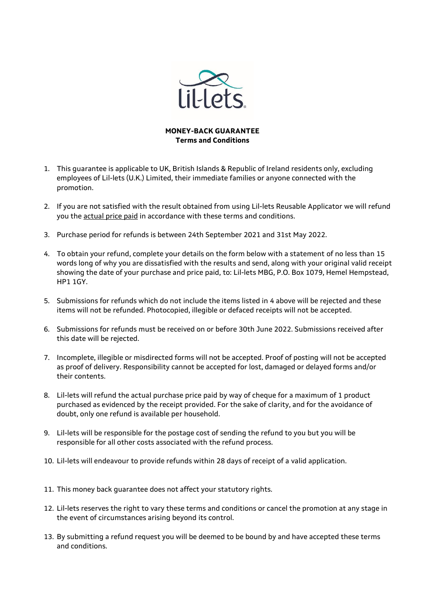

## **MONEY-BACK GUARANTEE Terms and Conditions**

- 1. This guarantee is applicable to UK, British Islands & Republic of Ireland residents only, excluding employees of Lil-lets (U.K.) Limited, their immediate families or anyone connected with the promotion.
- 2. If you are not satisfied with the result obtained from using Lil-lets Reusable Applicator we will refund you the actual price paid in accordance with these terms and conditions.
- 3. Purchase period for refunds is between 24th September 2021 and 31st May 2022.
- 4. To obtain your refund, complete your details on the form below with a statement of no less than 15 words long of why you are dissatisfied with the results and send, along with your original valid receipt showing the date of your purchase and price paid, to: Lil-lets MBG, P.O. Box 1079, Hemel Hempstead, HP1 1GY.
- 5. Submissions for refunds which do not include the items listed in 4 above will be rejected and these items will not be refunded. Photocopied, illegible or defaced receipts will not be accepted.
- 6. Submissions for refunds must be received on or before 30th June 2022. Submissions received after this date will be rejected.
- 7. Incomplete, illegible or misdirected forms will not be accepted. Proof of posting will not be accepted as proof of delivery. Responsibility cannot be accepted for lost, damaged or delayed forms and/or their contents.
- 8. Lil-lets will refund the actual purchase price paid by way of cheque for a maximum of 1 product purchased as evidenced by the receipt provided. For the sake of clarity, and for the avoidance of doubt, only one refund is available per household.
- 9. Lil-lets will be responsible for the postage cost of sending the refund to you but you will be responsible for all other costs associated with the refund process.
- 10. Lil-lets will endeavour to provide refunds within 28 days of receipt of a valid application.
- 11. This money back guarantee does not affect your statutory rights.
- 12. Lil-lets reserves the right to vary these terms and conditions or cancel the promotion at any stage in the event of circumstances arising beyond its control.
- 13. By submitting a refund request you will be deemed to be bound by and have accepted these terms and conditions.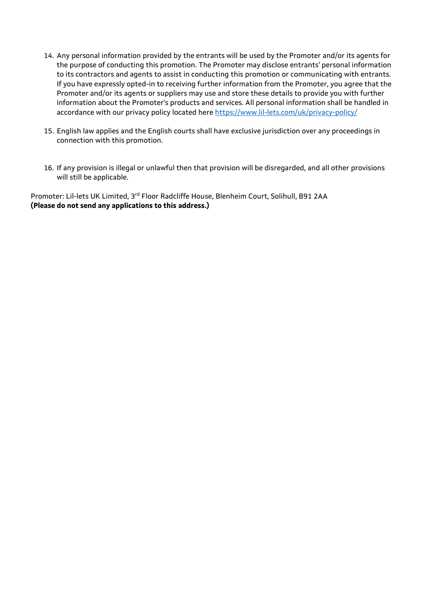- 14. Any personal information provided by the entrants will be used by the Promoter and/or its agents for the purpose of conducting this promotion. The Promoter may disclose entrants' personal information to its contractors and agents to assist in conducting this promotion or communicating with entrants. If you have expressly opted-in to receiving further information from the Promoter, you agree that the Promoter and/or its agents or suppliers may use and store these details to provide you with further information about the Promoter's products and services. All personal information shall be handled in accordance with our privacy policy located here<https://www.lil-lets.com/uk/privacy-policy/>
- 15. English law applies and the English courts shall have exclusive jurisdiction over any proceedings in connection with this promotion.
- 16. If any provision is illegal or unlawful then that provision will be disregarded, and all other provisions will still be applicable.

Promoter: Lil-lets UK Limited, 3rd Floor Radcliffe House, Blenheim Court, Solihull, B91 2AA **(Please do not send any applications to this address.)**